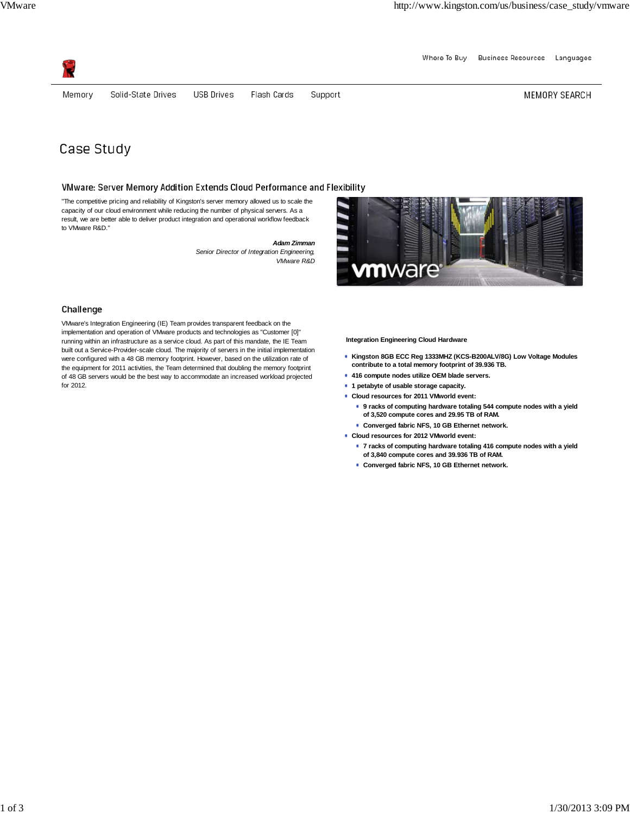Where To Buy Business Resources Languages



Memory

Solid-State Drives **USB Drives**  Flash Cards Support MEMORY SEARCH

# Case Study

# VMware: Server Memory Addition Extends Cloud Performance and Flexibility

"The competitive pricing and reliability of Kingston's server memory allowed us to scale the capacity of our cloud environment while reducing the number of physical servers. As a result, we are better able to deliver product integration and operational workflow feedback to VMware R&D."

> *Adam Zimman Senior Director of Integration Engineering, VMware R&D*



# Challenge

VMware's Integration Engineering (IE) Team provides transparent feedback on the implementation and operation of VMware products and technologies as "Customer [0]" running within an infrastructure as a service cloud. As part of this mandate, the IE Team built out a Service-Provider-scale cloud. The majority of servers in the initial implementation were configured with a 48 GB memory footprint. However, based on the utilization rate of the equipment for 2011 activities, the Team determined that doubling the memory footprint of 48 GB servers would be the best way to accommodate an increased workload projected for 2012.

**Integration Engineering Cloud Hardware**

- **Kingston 8GB ECC Reg 1333MHZ (KCS-B200ALV/8G) Low Voltage Modules contribute to a total memory footprint of 39.936 TB.**
- **416 compute nodes utilize OEM blade servers.**
- **1 petabyte of usable storage capacity.**
- **Cloud resources for 2011 VMworld event:**
	- **9 racks of computing hardware totaling 544 compute nodes with a yield of 3,520 compute cores and 29.95 TB of RAM.**
	- **Converged fabric NFS, 10 GB Ethernet network.**
- **Cloud resources for 2012 VMworld event:**
	- **7 racks of computing hardware totaling 416 compute nodes with a yield of 3,840 compute cores and 39.936 TB of RAM.**
	- **Converged fabric NFS, 10 GB Ethernet network.**